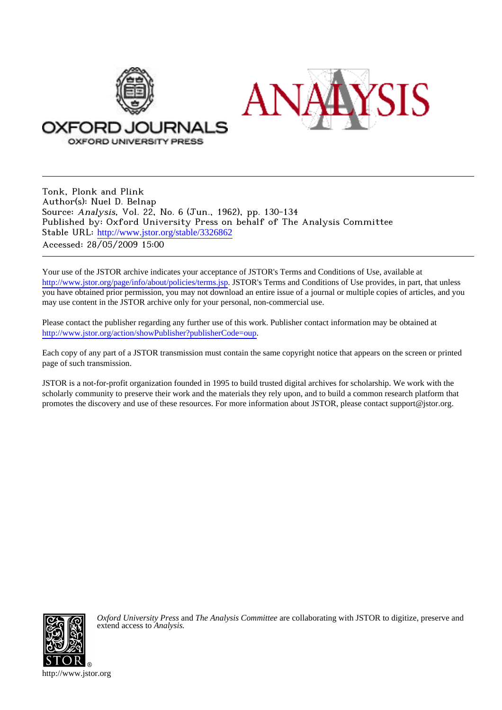

Tonk, Plonk and Plink Author(s): Nuel D. Belnap Source: Analysis, Vol. 22, No. 6 (Jun., 1962), pp. 130-134 Published by: Oxford University Press on behalf of The Analysis Committee Stable URL: [http://www.jstor.org/stable/3326862](http://www.jstor.org/stable/3326862?origin=JSTOR-pdf) Accessed: 28/05/2009 15:00

Your use of the JSTOR archive indicates your acceptance of JSTOR's Terms and Conditions of Use, available at <http://www.jstor.org/page/info/about/policies/terms.jsp>. JSTOR's Terms and Conditions of Use provides, in part, that unless you have obtained prior permission, you may not download an entire issue of a journal or multiple copies of articles, and you may use content in the JSTOR archive only for your personal, non-commercial use.

Please contact the publisher regarding any further use of this work. Publisher contact information may be obtained at [http://www.jstor.org/action/showPublisher?publisherCode=oup.](http://www.jstor.org/action/showPublisher?publisherCode=oup)

Each copy of any part of a JSTOR transmission must contain the same copyright notice that appears on the screen or printed page of such transmission.

JSTOR is a not-for-profit organization founded in 1995 to build trusted digital archives for scholarship. We work with the scholarly community to preserve their work and the materials they rely upon, and to build a common research platform that promotes the discovery and use of these resources. For more information about JSTOR, please contact support@jstor.org.



*Oxford University Press* and *The Analysis Committee* are collaborating with JSTOR to digitize, preserve and extend access to *Analysis.*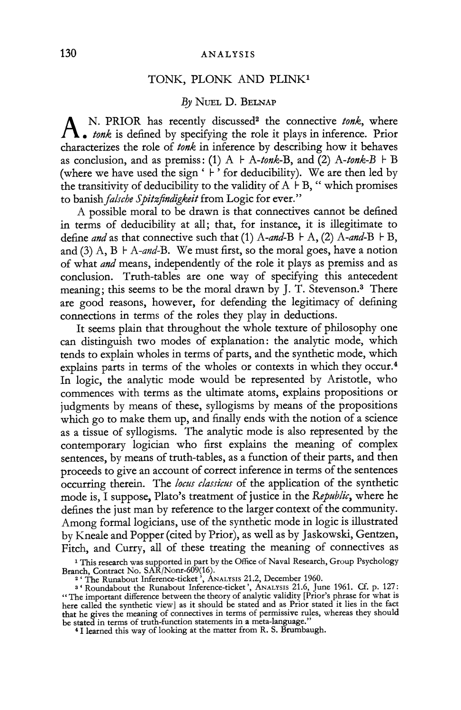#### **ANALYSIS**

### **TONK, PLONK AND PLINK1**

### **By NUEL D. BELNAP**

**A N. PRIOR has recently discussed2 the connective tonk, where . tonk is defined by specifying the role it plays in inference. Prior characterizes the role of tonk in inference by describing how it behaves**  as conclusion, and as premiss: (1)  $A + A$ -tonk-B, and (2)  $A$ -tonk-B  $+ B$ **(where we have used the sign ' F ' for deducibility). We are then led by**  the transitivity of deducibility to the validity of  $A + B$ , " which promises to banish falsche Spitzfindigkeit from Logic for ever."

**A possible moral to be drawn is that connectives cannot be defined in terms of deducibility at all; that, for instance, it is illegitimate to define and as that connective such that (1)** A-and-B  $\vdash$  A, (2) A-and-B  $\vdash$  B, and (3)  $A$ ,  $B$   $F$   $A$ -and- $B$ . We must first, so the moral goes, have a notion **of what and means, independently of the role it plays as premiss and as conclusion. Truth-tables are one way of specifying this antecedent meaning; this seems to be the moral drawn by J. T. Stevenson.3 There are good reasons, however, for defending the legitimacy of defining connections in terms of the roles they play in deductions.** 

**It seems plain that throughout the whole texture of philosophy one can distinguish two modes of explanation: the analytic mode, which tends to explain wholes in terms of parts, and the synthetic mode, which explains parts in terms of the wholes or contexts in which they occur.4 In logic, the analytic mode would be represented by Aristotle, who commences with terms as the ultimate atoms, explains propositions or judgments by means of these, syllogisms by means of the propositions which go to make them up, and finally ends with the notion of a science as a tissue of syllogisms. The analytic mode is also represented by the contemporary logician who first explains the meaning of complex sentences, by means of truth-tables, as a function of their parts, and then proceeds to give an account of correct inference in terms of the sentences occurring therein. The locus classicus of the application of the synthetic mode is, I suppose, Plato's treatment of justice in the Republic, where he defines the just man by reference to the larger context of the community. Among formal logicians, use of the synthetic mode in logic is illustrated by Kneale and Popper (cited by Prior), as well as by Jaskowski, Gentzen, Fitch, and Curry, all of these treating the meaning of connectives as** 

**1 This research was supported in part by the Office of Naval Research, Group Psychology Branch, Contract No. SAR/Nonr-609(16).** 

**<sup>2</sup>(The Runabout Inference-ticket', ANALYSIS 21.2, December 1960. 3' Roundabout the Runabout Inference-ticket', ANALYSIS 21.6, June 1961. Cf. p. 127: "The important difference between the theory of analytic validity [Prior's phrase for what is here called the synthetic view] as it should be stated and as Prior stated it lies in the fact that he gives the meaning of connectives in terms of permissive rules, whereas they should be stated in terms of truth-function statements in a meta-language."** 

**<sup>4</sup>I learned this way of looking at the matter from R. S. Brumbaugh.**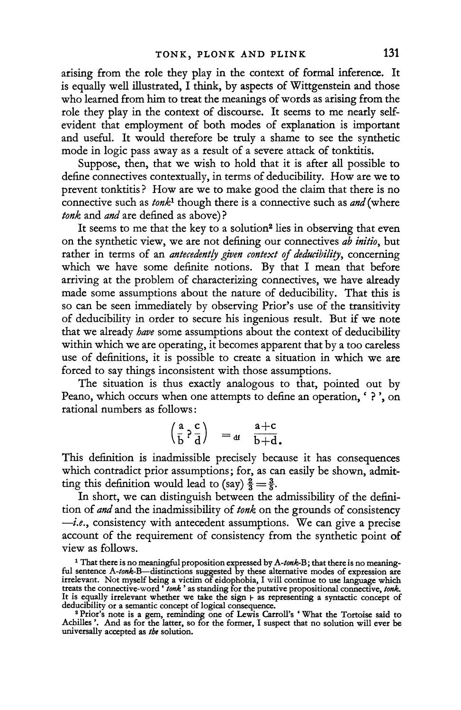**arising from the role they play in the context of formal inference. It is equally well illustrated, I think, by aspects of Wittgenstein and those who learned from him to treat the meanings of words as arising from the role they play in the context of discourse. It seems to me nearly selfevident that employment of both modes of explanation is important and useful. It would therefore be truly a shame to see the synthetic mode in logic pass away as a result of a severe attack of tonktitis.** 

**Suppose, then, that we wish to hold that it is after all possible to define connectives contextually, in terms of deducibility. How are we to prevent tonktitis ? How are we to make good the claim that there is no connective such as tonk1 though there is a connective such as and (where tonk and and are defined as above)?** 

**It seems to me that the key to a solution2 lies in observing that even on the synthetic view, we are not defining our connectives ab initio, but**  rather in terms of an *antecedently given context of deducibility*, concerning **which we have some definite notions. By that I mean that before arriving at the problem of characterizing connectives, we have already made some assumptions about the nature of deducibility. That this is so can be seen immediately by observing Prior's use of the transitivity of deducibility in order to secure his ingenious result. But if we note that we already have some assumptions about the context of deducibility within which we are operating, it becomes apparent that by a too careless use of definitions, it is possible to create a situation in which we are forced to say things inconsistent with those assumptions.** 

**The situation is thus exactly analogous to that, pointed out by Peano, which occurs when one attempts to define an operation,' ? ', on rational numbers as follows:** 

$$
\left(\frac{a}{b} \cdot \frac{c}{d}\right) =_{d f} \frac{a+c}{b+d}.
$$

**This definition is inadmissible precisely because it has consequences which contradict prior assumptions; for, as can easily be shown, admitting this definition would lead to (say)**  $\frac{2}{3} = \frac{3}{5}$ **.** 

**In short, we can distinguish between the admissibility of the definition of and and the inadmissibility of tonk on the grounds of consistency -i.e., consistency with antecedent assumptions. We can give a precise account of the requirement of consistency from the synthetic point of view as follows.** 

**1 That there is no meaningful proposition expressed by A-fonk-B; that there is no meaningful sentence A-tonk-B-distinctions suggested by these alternative modes of expression are irrelevant. Not myself being a victim of eidophobia, I will continue to use language which treats the connective-word ' tonk' as standing for the putative propositional connective, tonk.**  It is equally irrelevant whether we take the sign  $\vdash$  as representing a syntactic concept of deducibility or a semantic concept of logical consequence.

<sup>2</sup> Prior's note is a gem, reminding one of Lewis Carroll's 'What the Tortoise said to Achilles'. And as for the latter, so for the former, I suspect that no solution will ever be **universally accepted as the solution.**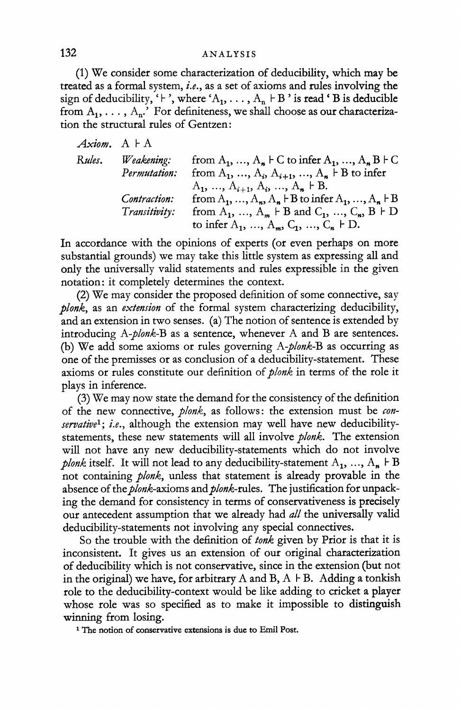## **132 ANALYSIS**

**(1) We consider some characterization of deducibility, which may be treated as a formal system, i.e., as a set of axioms and rules involving the**  sign of deducibility, ' $\vdash$ ', where 'A<sub>1</sub>, ..., A<sub>n</sub>  $\vdash$  B ' is read ' B is deducible **from A,. . . ., A,.' For definiteness, we shall choose as our characterization the structural rules of Gentzen:** 

| Axiom. $A \vdash A$ |               |                                                                  |
|---------------------|---------------|------------------------------------------------------------------|
| Rules.              | Weakening:    | from $A_1, , A_n \rvert C$ to infer $A_1, , A_n B \rvert C$      |
|                     | Permutation:  | from $A_1, , A_i, A_{i+1}, , A_n$ + B to infer                   |
|                     |               | $A_1, , A_{i+1}, A_i, , A_n \vdash B.$                           |
|                     | Contraction:  | from $A_1, , A_n, A_n \nvdash B$ to infer $A_1, , A_n \nvdash B$ |
|                     | Transitivity: | from $A_1, , A_m \nvdash B$ and $C_1, , C_n, B \nvdash D$        |
|                     |               | to infer $A_1, , A_m, C_1, , C_n \vdash D$ .                     |

**In accordance with the opinions of experts (or even perhaps on more substantial grounds) we may take this little system as expressing all and only the universally valid statements and rules expressible in the given notation: it completely determines the context.** 

**(2) We may consider the proposed definition of some connective, say plonk, as an extension of the formal system characterizing deducibility, and an extension in two senses. (a) The notion of sentence is extended by introducing A-plonk-B as a sentence, whenever A and B are sentences. (b) We add some axioms or rules governing A-plonk-B as occurring as one of the premisses or as conclusion of a deducibility-statement. These**  axioms or rules constitute our definition of *plonk* in terms of the role it **plays in inference.** 

**(3) We may now state the demand for the consistency of the definition of the new connective, plonk, as follows: the extension must be conservative1; i.e., although the extension may well have new deducibilitystatements, these new statements will all involve plonk. The extension will not have any new deducibility-statements which do not involve**  *plonk* itself. It will not lead to any deducibility-statement  $A_1, ..., A_n \models B$ **not containing plonk, unless that statement is already provable in the**  absence of the *plonk*-axioms and *plonk*-rules. The justification for unpack**ing the demand for consistency in terms of conservativeness is precisely our antecedent assumption that we already had all the universally valid deducibility-statements not involving any special connectives.** 

**So the trouble with the definition of tonk given by Prior is that it is inconsistent. It gives us an extension of our original characterization of deducibility which is not conservative, since in the extension (but not**  in the original) we have, for arbitrary  $A$  and  $B$ ,  $A \vdash B$ . Adding a tonkish **role to the deducibility-context would be like adding to cricket a player whose role was so specified as to make it impossible to distinguish winning from losing.** 

**1 The notion of conservative extensions is due to Emil Post.**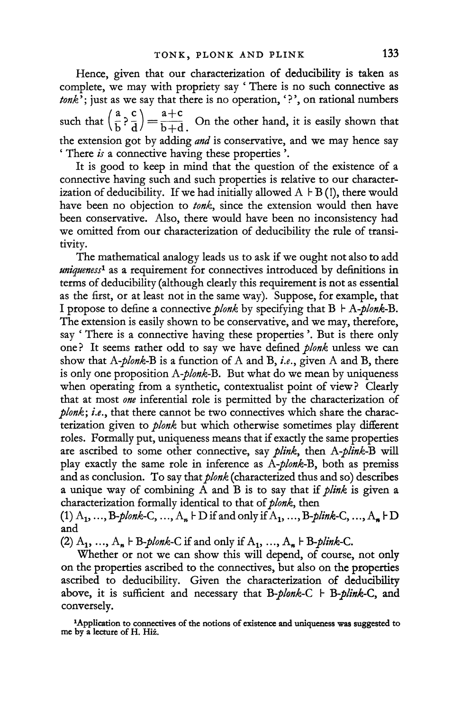**Hence, given that our characterization of deducibility is taken as complete, we may with propriety say 'There is no such connective as tonk'; just as we say that there is no operation, '?', on rational numbers**  such that  $\left(\frac{a}{b} \cdot \frac{c}{d}\right) = \frac{a+c}{b+d}$ . On the other hand, it is easily shown that **the extension got by adding and is conservative, and we may hence say 'There is a connective having these properties '.** 

**It is good to keep in mind that the question of the existence of a connective having such and such properties is relative to our character**ization of deducibility. If we had initially allowed  $A \nvdash B(!)$ , there would **have been no objection to tonk, since the extension would then have been conservative. Also, there would have been no inconsistency had we omitted from our characterization of deducibility the rule of transitivity.** 

**The mathematical analogy leads us to ask if we ought not also to add uniqueness' as a requirement for connectives introduced by definitions in terms of deducibility (although clearly this requirement is not as essential as the first, or at least not in the same way). Suppose, for example, that I propose to define a connective plonk by specifying that B <sup>F</sup>A-plonk-B. The extension is easily shown to be conservative, and we may, therefore, say 'There is a connective having these properties '. But is there only one? It seems rather odd to say we have defined plonk unless we can show that A-plonk-B is a function of A and B, i.e., given A and B, there is only one proposition A-plonk-B. But what do we mean by uniqueness when operating from a synthetic, contextualist point of view? Clearly that at most one inferential role is permitted by the characterization of plonk; i.e., that there cannot be two connectives which share the characterization given to plonk but which otherwise sometimes play different roles. Formally put, uniqueness means that if exactly the same properties are ascribed to some other connective, say plink, then A-plink-B will play exactly the same role in inference as A-plonk-B, both as premiss**  and as conclusion. To say that *plonk* (characterized thus and so) describes **a unique way of combining A and B is to say that if plink is given a**  characterization formally identical to that of *plonk*, then

**(1)**  $A_1, ..., B$ -plonk-C, ...,  $A_n \models D$  if and only if  $A_1, ..., B$ -plink-C, ...,  $A_n \models D$ **and** 

(2)  $A_1, \ldots, A_n \vdash B\text{-}plonk\text{-}C$  if and only if  $A_1, \ldots, A_n \vdash B\text{-}plink\text{-}C$ .

**Whether or not we can show this will depend, of course, not only on the properties ascribed to the connectives, but also on the properties ascribed to deducibility. Given the characterization of deducibility above, it is sufficient and necessary that B-plonk-C F B-plink-C, and conversely.** 

**'Application to connectives of the notions of existence and uniqueness was suggested to**  me by a lecture of H. Hiż.